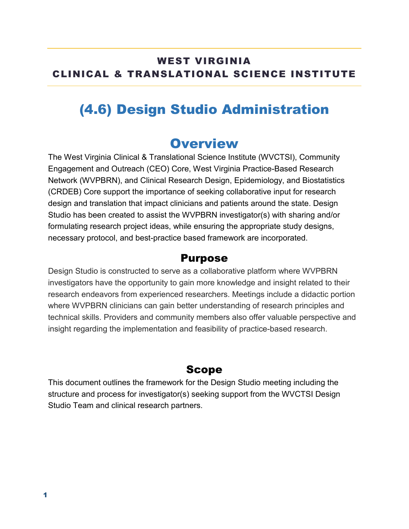#### WEST VIRGINIA CLINICAL & TRANSLATIONAL SCIENCE INSTITUTE

## (4.6) Design Studio Administration

## **Overview**

The West Virginia Clinical & Translational Science Institute (WVCTSI), Community Engagement and Outreach (CEO) Core, West Virginia Practice-Based Research Network (WVPBRN), and Clinical Research Design, Epidemiology, and Biostatistics (CRDEB) Core support the importance of seeking collaborative input for research design and translation that impact clinicians and patients around the state. Design Studio has been created to assist the WVPBRN investigator(s) with sharing and/or formulating research project ideas, while ensuring the appropriate study designs, necessary protocol, and best-practice based framework are incorporated.

#### Purpose

Design Studio is constructed to serve as a collaborative platform where WVPBRN investigators have the opportunity to gain more knowledge and insight related to their research endeavors from experienced researchers. Meetings include a didactic portion where WVPBRN clinicians can gain better understanding of research principles and technical skills. Providers and community members also offer valuable perspective and insight regarding the implementation and feasibility of practice-based research.

#### Scope

This document outlines the framework for the Design Studio meeting including the structure and process for investigator(s) seeking support from the WVCTSI Design Studio Team and clinical research partners.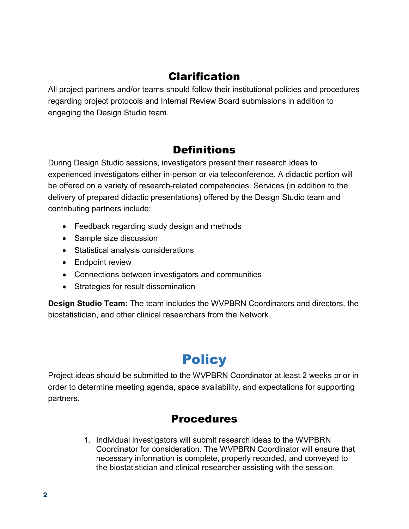### Clarification

All project partners and/or teams should follow their institutional policies and procedures regarding project protocols and Internal Review Board submissions in addition to engaging the Design Studio team.

#### **Definitions**

During Design Studio sessions, investigators present their research ideas to experienced investigators either in-person or via teleconference. A didactic portion will be offered on a variety of research-related competencies. Services (in addition to the delivery of prepared didactic presentations) offered by the Design Studio team and contributing partners include:

- Feedback regarding study design and methods
- Sample size discussion
- Statistical analysis considerations
- Endpoint review
- Connections between investigators and communities
- Strategies for result dissemination

**Design Studio Team:** The team includes the WVPBRN Coordinators and directors, the biostatistician, and other clinical researchers from the Network.

# **Policy**

Project ideas should be submitted to the WVPBRN Coordinator at least 2 weeks prior in order to determine meeting agenda, space availability, and expectations for supporting partners.

#### Procedures

1. Individual investigators will submit research ideas to the WVPBRN Coordinator for consideration. The WVPBRN Coordinator will ensure that necessary information is complete, properly recorded, and conveyed to the biostatistician and clinical researcher assisting with the session.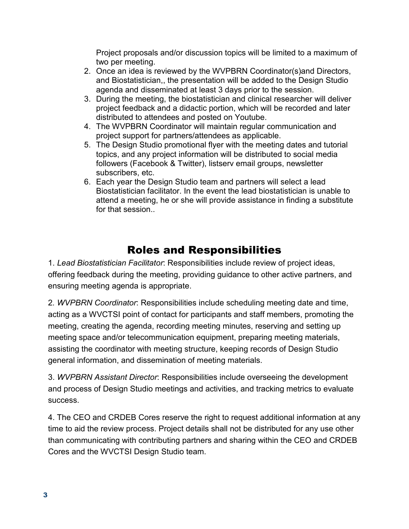Project proposals and/or discussion topics will be limited to a maximum of two per meeting.

- 2. Once an idea is reviewed by the WVPBRN Coordinator(s)and Directors, and Biostatistician,, the presentation will be added to the Design Studio agenda and disseminated at least 3 days prior to the session.
- 3. During the meeting, the biostatistician and clinical researcher will deliver project feedback and a didactic portion, which will be recorded and later distributed to attendees and posted on Youtube.
- 4. The WVPBRN Coordinator will maintain regular communication and project support for partners/attendees as applicable.
- 5. The Design Studio promotional flyer with the meeting dates and tutorial topics, and any project information will be distributed to social media followers (Facebook & Twitter), listserv email groups, newsletter subscribers, etc.
- 6. Each year the Design Studio team and partners will select a lead Biostatistician facilitator. In the event the lead biostatistician is unable to attend a meeting, he or she will provide assistance in finding a substitute for that session..

## Roles and Responsibilities

1. *Lead Biostatistician Facilitator*: Responsibilities include review of project ideas, offering feedback during the meeting, providing guidance to other active partners, and ensuring meeting agenda is appropriate.

2*. WVPBRN Coordinator*: Responsibilities include scheduling meeting date and time, acting as a WVCTSI point of contact for participants and staff members, promoting the meeting, creating the agenda, recording meeting minutes, reserving and setting up meeting space and/or telecommunication equipment, preparing meeting materials, assisting the coordinator with meeting structure, keeping records of Design Studio general information, and dissemination of meeting materials.

3. *WVPBRN Assistant Director*: Responsibilities include overseeing the development and process of Design Studio meetings and activities, and tracking metrics to evaluate success.

4. The CEO and CRDEB Cores reserve the right to request additional information at any time to aid the review process. Project details shall not be distributed for any use other than communicating with contributing partners and sharing within the CEO and CRDEB Cores and the WVCTSI Design Studio team.